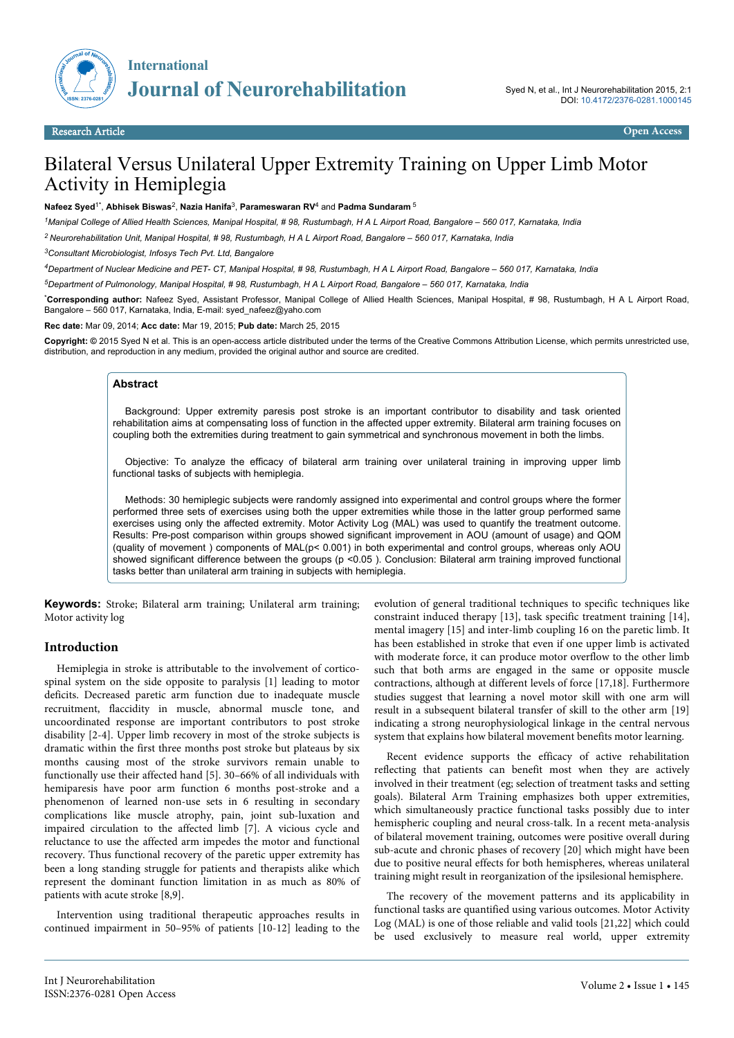

# Bilateral Versus Unilateral Upper Extremity Training on Upper Limb Motor Activity in Hemiplegia

**Nafeez Syed**1\* , **Abhisek Biswas**<sup>2</sup> , **Nazia Hanifa**<sup>3</sup> , **Parameswaran RV**<sup>4</sup> and **Padma Sundaram**<sup>5</sup>

*<sup>1</sup>Manipal College of Allied Health Sciences, Manipal Hospital, # 98, Rustumbagh, H A L Airport Road, Bangalore – 560 017, Karnataka, India*

*<sup>2</sup>Neurorehabilitation Unit, Manipal Hospital, # 98, Rustumbagh, H A L Airport Road, Bangalore – 560 017, Karnataka, India*

*<sup>3</sup>Consultant Microbiologist, Infosys Tech Pvt. Ltd, Bangalore*

*<sup>4</sup>Department of Nuclear Medicine and PET- CT, Manipal Hospital, # 98, Rustumbagh, H A L Airport Road, Bangalore – 560 017, Karnataka, India*

*<sup>5</sup>Department of Pulmonology, Manipal Hospital, # 98, Rustumbagh, H A L Airport Road, Bangalore – 560 017, Karnataka, India*

\***Corresponding author:** Nafeez Syed, Assistant Professor, Manipal College of Allied Health Sciences, Manipal Hospital, # 98, Rustumbagh, H A L Airport Road, Bangalore – 560 017, Karnataka, India, E-mail: syed\_nafeez@yaho.com

**Rec date:** Mar 09, 2014; **Acc date:** Mar 19, 2015; **Pub date:** March 25, 2015

Copyright: © 2015 Syed N et al. This is an open-access article distributed under the terms of the Creative Commons Attribution License, which permits unrestricted use, distribution, and reproduction in any medium, provided the original author and source are credited.

#### **Abstract**

Background: Upper extremity paresis post stroke is an important contributor to disability and task oriented rehabilitation aims at compensating loss of function in the affected upper extremity. Bilateral arm training focuses on coupling both the extremities during treatment to gain symmetrical and synchronous movement in both the limbs.

Objective: To analyze the efficacy of bilateral arm training over unilateral training in improving upper limb functional tasks of subjects with hemiplegia.

Methods: 30 hemiplegic subjects were randomly assigned into experimental and control groups where the former performed three sets of exercises using both the upper extremities while those in the latter group performed same exercises using only the affected extremity. Motor Activity Log (MAL) was used to quantify the treatment outcome. Results: Pre-post comparison within groups showed significant improvement in AOU (amount of usage) and QOM (quality of movement ) components of MAL(p< 0.001) in both experimental and control groups, whereas only AOU showed significant difference between the groups (p <0.05). Conclusion: Bilateral arm training improved functional tasks better than unilateral arm training in subjects with hemiplegia.

**Keywords:** Stroke; Bilateral arm training; Unilateral arm training; Motor activity log

### **Introduction**

Hemiplegia in stroke is attributable to the involvement of corticospinal system on the side opposite to paralysis [1] leading to motor deficits. Decreased paretic arm function due to inadequate muscle recruitment, flaccidity in muscle, abnormal muscle tone, and uncoordinated response are important contributors to post stroke disability [2-4]. Upper limb recovery in most of the stroke subjects is dramatic within the first three months post stroke but plateaus by six months causing most of the stroke survivors remain unable to functionally use their affected hand [5]. 30–66% of all individuals with hemiparesis have poor arm function 6 months post-stroke and a phenomenon of learned non-use sets in 6 resulting in secondary complications like muscle atrophy, pain, joint sub-luxation and impaired circulation to the affected limb [7]. A vicious cycle and reluctance to use the affected arm impedes the motor and functional recovery. Thus functional recovery of the paretic upper extremity has been a long standing struggle for patients and therapists alike which represent the dominant function limitation in as much as 80% of patients with acute stroke [8,9].

Intervention using traditional therapeutic approaches results in continued impairment in 50–95% of patients [10-12] leading to the evolution of general traditional techniques to specific techniques like constraint induced therapy [13], task specific treatment training [14], mental imagery [15] and inter-limb coupling 16 on the paretic limb. It has been established in stroke that even if one upper limb is activated with moderate force, it can produce motor overflow to the other limb such that both arms are engaged in the same or opposite muscle contractions, although at different levels of force [17,18]. Furthermore studies suggest that learning a novel motor skill with one arm will result in a subsequent bilateral transfer of skill to the other arm [19] indicating a strong neurophysiological linkage in the central nervous system that explains how bilateral movement benefits motor learning.

Recent evidence supports the efficacy of active rehabilitation reflecting that patients can benefit most when they are actively involved in their treatment (eg; selection of treatment tasks and setting goals). Bilateral Arm Training emphasizes both upper extremities, which simultaneously practice functional tasks possibly due to inter hemispheric coupling and neural cross-talk. In a recent meta-analysis of bilateral movement training, outcomes were positive overall during sub-acute and chronic phases of recovery [20] which might have been due to positive neural effects for both hemispheres, whereas unilateral training might result in reorganization of the ipsilesional hemisphere.

The recovery of the movement patterns and its applicability in functional tasks are quantified using various outcomes. Motor Activity Log (MAL) is one of those reliable and valid tools [21,22] which could be used exclusively to measure real world, upper extremity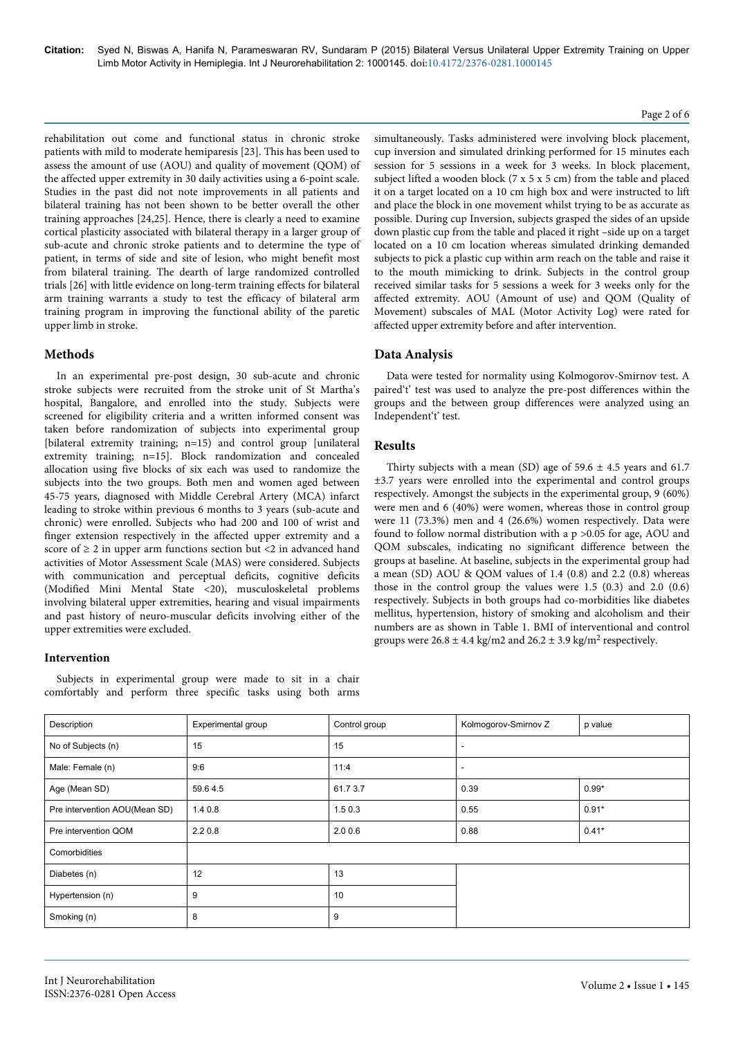rehabilitation out come and functional status in chronic stroke patients with mild to moderate hemiparesis [23]. This has been used to assess the amount of use (AOU) and quality of movement (QOM) of the affected upper extremity in 30 daily activities using a 6-point scale. Studies in the past did not note improvements in all patients and bilateral training has not been shown to be better overall the other training approaches [24,25]. Hence, there is clearly a need to examine cortical plasticity associated with bilateral therapy in a larger group of sub-acute and chronic stroke patients and to determine the type of patient, in terms of side and site of lesion, who might benefit most from bilateral training. The dearth of large randomized controlled trials [26] with little evidence on long-term training effects for bilateral arm training warrants a study to test the efficacy of bilateral arm training program in improving the functional ability of the paretic upper limb in stroke.

## **Methods**

In an experimental pre-post design, 30 sub-acute and chronic stroke subjects were recruited from the stroke unit of St Martha's hospital, Bangalore, and enrolled into the study. Subjects were screened for eligibility criteria and a written informed consent was taken before randomization of subjects into experimental group [bilateral extremity training; n=15) and control group [unilateral extremity training; n=15]. Block randomization and concealed allocation using five blocks of six each was used to randomize the subjects into the two groups. Both men and women aged between 45-75 years, diagnosed with Middle Cerebral Artery (MCA) infarct leading to stroke within previous 6 months to 3 years (sub-acute and chronic) were enrolled. Subjects who had 200 and 100 of wrist and finger extension respectively in the affected upper extremity and a score of  $\geq 2$  in upper arm functions section but <2 in advanced hand activities of Motor Assessment Scale (MAS) were considered. Subjects with communication and perceptual deficits, cognitive deficits (Modified Mini Mental State <20), musculoskeletal problems involving bilateral upper extremities, hearing and visual impairments and past history of neuro-muscular deficits involving either of the upper extremities were excluded.

## **Intervention**

Subjects in experimental group were made to sit in a chair comfortably and perform three specific tasks using both arms Page 2 of 6

simultaneously. Tasks administered were involving block placement, cup inversion and simulated drinking performed for 15 minutes each session for 5 sessions in a week for 3 weeks. In block placement, subject lifted a wooden block (7 x 5 x 5 cm) from the table and placed it on a target located on a 10 cm high box and were instructed to lift and place the block in one movement whilst trying to be as accurate as possible. During cup Inversion, subjects grasped the sides of an upside down plastic cup from the table and placed it right –side up on a target located on a 10 cm location whereas simulated drinking demanded subjects to pick a plastic cup within arm reach on the table and raise it to the mouth mimicking to drink. Subjects in the control group received similar tasks for 5 sessions a week for 3 weeks only for the affected extremity. AOU (Amount of use) and QOM (Quality of Movement) subscales of MAL (Motor Activity Log) were rated for affected upper extremity before and after intervention.

## **Data Analysis**

Data were tested for normality using Kolmogorov-Smirnov test. A paired't' test was used to analyze the pre-post differences within the groups and the between group differences were analyzed using an Independent't' test.

### **Results**

Thirty subjects with a mean (SD) age of  $59.6 \pm 4.5$  years and 61.7 ±3.7 years were enrolled into the experimental and control groups respectively. Amongst the subjects in the experimental group, 9 (60%) were men and 6 (40%) were women, whereas those in control group were 11 (73.3%) men and 4 (26.6%) women respectively. Data were found to follow normal distribution with a p >0.05 for age, AOU and QOM subscales, indicating no significant difference between the groups at baseline. At baseline, subjects in the experimental group had a mean (SD) AOU & QOM values of 1.4 (0.8) and 2.2 (0.8) whereas those in the control group the values were 1.5 (0.3) and 2.0 (0.6) respectively. Subjects in both groups had co-morbidities like diabetes mellitus, hypertension, history of smoking and alcoholism and their numbers are as shown in Table 1. BMI of interventional and control groups were  $26.8 \pm 4.4$  kg/m2 and  $26.2 \pm 3.9$  kg/m<sup>2</sup> respectively.

| Description                   | Experimental group | Control group | Kolmogorov-Smirnov Z     | p value |
|-------------------------------|--------------------|---------------|--------------------------|---------|
| No of Subjects (n)            | 15                 | 15            | $\overline{\phantom{a}}$ |         |
| Male: Female (n)              | 9:6                | 11:4          | $\overline{\phantom{a}}$ |         |
| Age (Mean SD)                 | 59.64.5            | 61.7 3.7      | 0.39                     | $0.99*$ |
| Pre intervention AOU(Mean SD) | 1.40.8             | 1.50.3        | 0.55                     | $0.91*$ |
| Pre intervention QOM          | $2.2\,0.8$         | 2.00.6        | 0.88                     | $0.41*$ |
| Comorbidities                 |                    |               |                          |         |
| Diabetes (n)                  | 12                 | 13            |                          |         |
| Hypertension (n)              | 9                  | 10            |                          |         |
| Smoking (n)                   | 8                  | 9             |                          |         |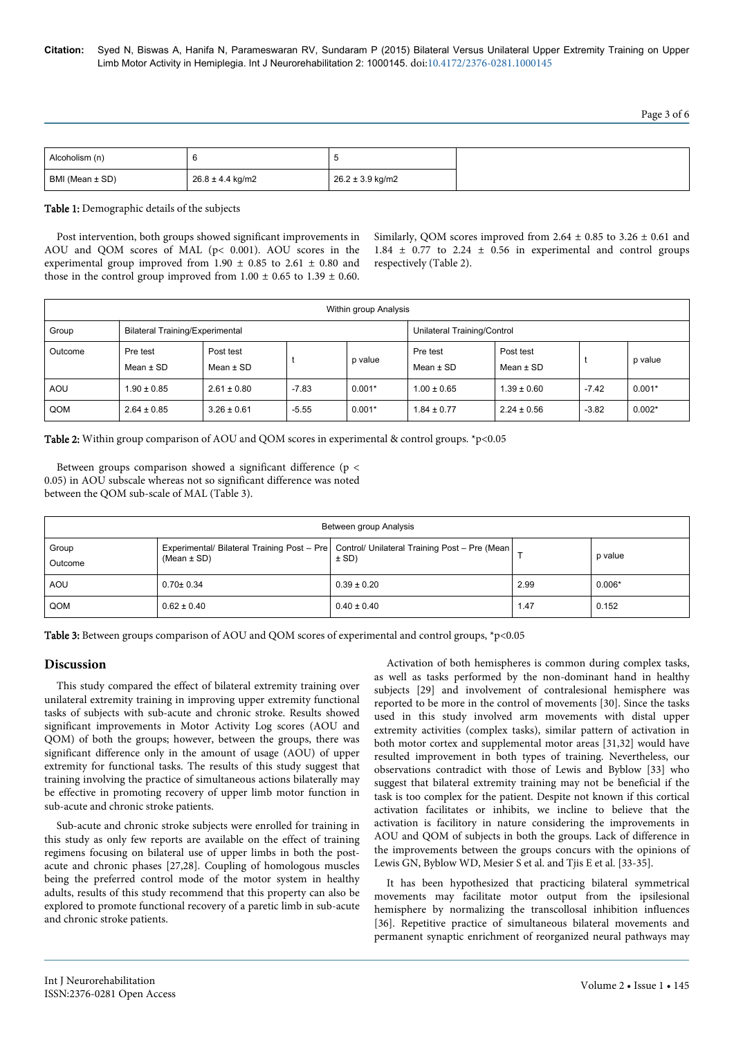| Alcoholism (n)  |                  |                      |
|-----------------|------------------|----------------------|
| BMI (Mean ± SD) | 26.8 ± 4.4 kg/m2 | $26.2 \pm 3.9$ kg/m2 |

Table 1: Demographic details of the subjects

Post intervention, both groups showed significant improvements in AOU and QOM scores of MAL (p< 0.001). AOU scores in the experimental group improved from 1.90  $\pm$  0.85 to 2.61  $\pm$  0.80 and those in the control group improved from  $1.00 \pm 0.65$  to  $1.39 \pm 0.60$ .

Similarly, QOM scores improved from 2.64  $\pm$  0.85 to 3.26  $\pm$  0.61 and  $1.84 \pm 0.77$  to  $2.24 \pm 0.56$  in experimental and control groups respectively (Table 2).

| Within group Analysis |                           |                                 |         |          |                             |                            |         |          |
|-----------------------|---------------------------|---------------------------------|---------|----------|-----------------------------|----------------------------|---------|----------|
| Group                 |                           | Bilateral Training/Experimental |         |          | Unilateral Training/Control |                            |         |          |
| Outcome               | Pre test<br>Mean $\pm$ SD | Post test<br>Mean $\pm$ SD      |         | p value  | Pre test<br>Mean $\pm$ SD   | Post test<br>Mean $\pm$ SD |         | p value  |
| <b>AOU</b>            | $1.90 \pm 0.85$           | $2.61 \pm 0.80$                 | $-7.83$ | $0.001*$ | $1.00 \pm 0.65$             | $1.39 \pm 0.60$            | $-7.42$ | $0.001*$ |
| QOM                   | $2.64 \pm 0.85$           | $3.26 \pm 0.61$                 | $-5.55$ | $0.001*$ | $1.84 \pm 0.77$             | $2.24 \pm 0.56$            | $-3.82$ | $0.002*$ |

Table 2: Within group comparison of AOU and QOM scores in experimental & control groups. \*p<0.05

Between groups comparison showed a significant difference (p < 0.05) in AOU subscale whereas not so significant difference was noted between the QOM sub-scale of MAL (Table 3).

| Between group Analysis |                 |                                                                                                          |      |          |  |  |  |
|------------------------|-----------------|----------------------------------------------------------------------------------------------------------|------|----------|--|--|--|
| Group<br>Outcome       | (Mean $\pm$ SD) | Experimental/ Bilateral Training Post - Pre   Control/ Unilateral Training Post - Pre (Mean  <br>$±$ SD) |      | p value  |  |  |  |
| AOU                    | $0.70 \pm 0.34$ | $0.39 \pm 0.20$                                                                                          | 2.99 | $0.006*$ |  |  |  |
| QOM                    | $0.62 \pm 0.40$ | $0.40 \pm 0.40$                                                                                          | 1.47 | 0.152    |  |  |  |

Table 3: Between groups comparison of AOU and QOM scores of experimental and control groups, \*p<0.05

### **Discussion**

This study compared the effect of bilateral extremity training over unilateral extremity training in improving upper extremity functional tasks of subjects with sub-acute and chronic stroke. Results showed significant improvements in Motor Activity Log scores (AOU and QOM) of both the groups; however, between the groups, there was significant difference only in the amount of usage (AOU) of upper extremity for functional tasks. The results of this study suggest that training involving the practice of simultaneous actions bilaterally may be effective in promoting recovery of upper limb motor function in sub-acute and chronic stroke patients.

Sub-acute and chronic stroke subjects were enrolled for training in this study as only few reports are available on the effect of training regimens focusing on bilateral use of upper limbs in both the postacute and chronic phases [27,28]. Coupling of homologous muscles being the preferred control mode of the motor system in healthy adults, results of this study recommend that this property can also be explored to promote functional recovery of a paretic limb in sub-acute and chronic stroke patients.

Activation of both hemispheres is common during complex tasks, as well as tasks performed by the non-dominant hand in healthy subjects [29] and involvement of contralesional hemisphere was reported to be more in the control of movements [30]. Since the tasks used in this study involved arm movements with distal upper extremity activities (complex tasks), similar pattern of activation in both motor cortex and supplemental motor areas [31,32] would have resulted improvement in both types of training. Nevertheless, our observations contradict with those of Lewis and Byblow [33] who suggest that bilateral extremity training may not be beneficial if the task is too complex for the patient. Despite not known if this cortical activation facilitates or inhibits, we incline to believe that the activation is facilitory in nature considering the improvements in AOU and QOM of subjects in both the groups. Lack of difference in the improvements between the groups concurs with the opinions of Lewis GN, Byblow WD, Mesier S et al. and Tjis E et al. [33-35].

It has been hypothesized that practicing bilateral symmetrical movements may facilitate motor output from the ipsilesional hemisphere by normalizing the transcollosal inhibition influences [36]. Repetitive practice of simultaneous bilateral movements and permanent synaptic enrichment of reorganized neural pathways may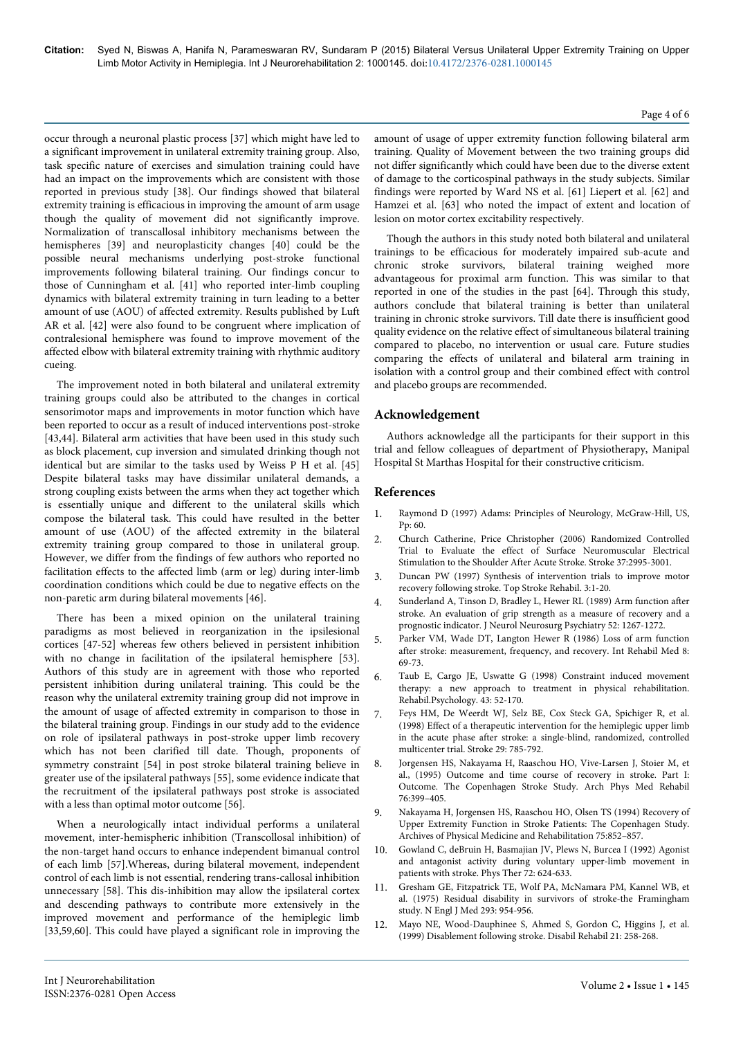occur through a neuronal plastic process [37] which might have led to a significant improvement in unilateral extremity training group. Also, task specific nature of exercises and simulation training could have had an impact on the improvements which are consistent with those reported in previous study [38]. Our findings showed that bilateral extremity training is efficacious in improving the amount of arm usage though the quality of movement did not significantly improve. Normalization of transcallosal inhibitory mechanisms between the hemispheres [39] and neuroplasticity changes [40] could be the possible neural mechanisms underlying post-stroke functional improvements following bilateral training. Our findings concur to those of Cunningham et al. [41] who reported inter-limb coupling dynamics with bilateral extremity training in turn leading to a better amount of use (AOU) of affected extremity. Results published by Luft AR et al. [42] were also found to be congruent where implication of contralesional hemisphere was found to improve movement of the affected elbow with bilateral extremity training with rhythmic auditory cueing.

The improvement noted in both bilateral and unilateral extremity training groups could also be attributed to the changes in cortical sensorimotor maps and improvements in motor function which have been reported to occur as a result of induced interventions post-stroke [43,44]. Bilateral arm activities that have been used in this study such as block placement, cup inversion and simulated drinking though not identical but are similar to the tasks used by Weiss P H et al. [45] Despite bilateral tasks may have dissimilar unilateral demands, a strong coupling exists between the arms when they act together which is essentially unique and different to the unilateral skills which compose the bilateral task. This could have resulted in the better amount of use (AOU) of the affected extremity in the bilateral extremity training group compared to those in unilateral group. However, we differ from the findings of few authors who reported no facilitation effects to the affected limb (arm or leg) during inter-limb coordination conditions which could be due to negative effects on the non-paretic arm during bilateral movements [46].

There has been a mixed opinion on the unilateral training paradigms as most believed in reorganization in the ipsilesional cortices [47-52] whereas few others believed in persistent inhibition with no change in facilitation of the ipsilateral hemisphere [53]. Authors of this study are in agreement with those who reported persistent inhibition during unilateral training. This could be the reason why the unilateral extremity training group did not improve in the amount of usage of affected extremity in comparison to those in the bilateral training group. Findings in our study add to the evidence on role of ipsilateral pathways in post-stroke upper limb recovery which has not been clarified till date. Though, proponents of symmetry constraint [54] in post stroke bilateral training believe in greater use of the ipsilateral pathways [55], some evidence indicate that the recruitment of the ipsilateral pathways post stroke is associated with a less than optimal motor outcome [56].

When a neurologically intact individual performs a unilateral movement, inter-hemispheric inhibition (Transcollosal inhibition) of the non-target hand occurs to enhance independent bimanual control of each limb [57].Whereas, during bilateral movement, independent control of each limb is not essential, rendering trans-callosal inhibition unnecessary [58]. This dis-inhibition may allow the ipsilateral cortex and descending pathways to contribute more extensively in the improved movement and performance of the hemiplegic limb [33,59,60]. This could have played a significant role in improving the amount of usage of upper extremity function following bilateral arm training. Quality of Movement between the two training groups did not differ significantly which could have been due to the diverse extent of damage to the corticospinal pathways in the study subjects. Similar findings were reported by Ward NS et al. [61] Liepert et al. [62] and Hamzei et al. [63] who noted the impact of extent and location of lesion on motor cortex excitability respectively.

Though the authors in this study noted both bilateral and unilateral trainings to be efficacious for moderately impaired sub-acute and chronic stroke survivors, bilateral training weighed more advantageous for proximal arm function. This was similar to that reported in one of the studies in the past [64]. Through this study, authors conclude that bilateral training is better than unilateral training in chronic stroke survivors. Till date there is insufficient good quality evidence on the relative effect of simultaneous bilateral training compared to placebo, no intervention or usual care. Future studies comparing the effects of unilateral and bilateral arm training in isolation with a control group and their combined effect with control and placebo groups are recommended.

## **Acknowledgement**

Authors acknowledge all the participants for their support in this trial and fellow colleagues of department of Physiotherapy, Manipal Hospital St Marthas Hospital for their constructive criticism.

## **References**

- 1. Raymond D (1997) Adams: Principles of Neurology, McGraw-Hill, US, Pp: 60.
- 2. Church Catherine, Price Christopher (2006) Randomized Controlled Trial to Evaluate the effect of Surface Neuromuscular Electrical Stimulation to the Shoulder After Acute Stroke. Stroke 37:2995-3001.
- 3. Duncan PW (1997) Synthesis of intervention trials to improve motor recovery following stroke. Top Stroke Rehabil. 3:1-20.
- 4. [Sunderland A, Tinson D, Bradley L, Hewer RL \(1989\) Arm function after](http://www.ncbi.nlm.nih.gov/pubmed/2592969) [stroke. An evaluation of grip strength as a measure of recovery and a](http://www.ncbi.nlm.nih.gov/pubmed/2592969) [prognostic indicator. J Neurol Neurosurg Psychiatry 52: 1267-1272.](http://www.ncbi.nlm.nih.gov/pubmed/2592969)
- 5. [Parker VM, Wade DT, Langton Hewer R \(1986\) Loss of arm function](http://www.ncbi.nlm.nih.gov/pubmed/3804600) [after stroke: measurement, frequency, and recovery. Int Rehabil Med 8:](http://www.ncbi.nlm.nih.gov/pubmed/3804600) [69-73.](http://www.ncbi.nlm.nih.gov/pubmed/3804600)
- 6. Taub E, Cargo JE, Uswatte G (1998) Constraint induced movement therapy: a new approach to treatment in physical rehabilitation. Rehabil.Psychology. 43: 52-170.
- [Feys HM, De Weerdt WJ, Selz BE, Cox Steck GA, Spichiger R, et al.](http://www.ncbi.nlm.nih.gov/pubmed/9550512) [\(1998\) Effect of a therapeutic intervention for the hemiplegic upper limb](http://www.ncbi.nlm.nih.gov/pubmed/9550512) [in the acute phase after stroke: a single-blind, randomized, controlled](http://www.ncbi.nlm.nih.gov/pubmed/9550512) [multicenter trial. Stroke 29: 785-792.](http://www.ncbi.nlm.nih.gov/pubmed/9550512)
- 8. Jorgensen HS, Nakayama H, Raaschou HO, Vive-Larsen J, Stoier M, et al., (1995) Outcome and time course of recovery in stroke. Part I: Outcome. The Copenhagen Stroke Study. Arch Phys Med Rehabil 76:399–405.
- 9. Nakayama H, Jorgensen HS, Raaschou HO, Olsen TS (1994) Recovery of Upper Extremity Function in Stroke Patients: The Copenhagen Study. Archives of Physical Medicine and Rehabilitation 75:852–857.
- 10. [Gowland C, deBruin H, Basmajian JV, Plews N, Burcea I \(1992\) Agonist](http://www.ncbi.nlm.nih.gov/pubmed/1508970) [and antagonist activity during voluntary upper-limb movement in](http://www.ncbi.nlm.nih.gov/pubmed/1508970) [patients with stroke. Phys Ther 72: 624-633.](http://www.ncbi.nlm.nih.gov/pubmed/1508970)
- 11. [Gresham GE, Fitzpatrick TE, Wolf PA, McNamara PM, Kannel WB, et](http://www.ncbi.nlm.nih.gov/pubmed/1178004) [al. \(1975\) Residual disability in survivors of stroke-the Framingham](http://www.ncbi.nlm.nih.gov/pubmed/1178004) [study. N Engl J Med 293: 954-956.](http://www.ncbi.nlm.nih.gov/pubmed/1178004)
- [Mayo NE, Wood-Dauphinee S, Ahmed S, Gordon C, Higgins J, et al.](http://www.ncbi.nlm.nih.gov/pubmed/10381238) [\(1999\) Disablement following stroke. Disabil Rehabil 21: 258-268.](http://www.ncbi.nlm.nih.gov/pubmed/10381238)

#### Page 4 of 6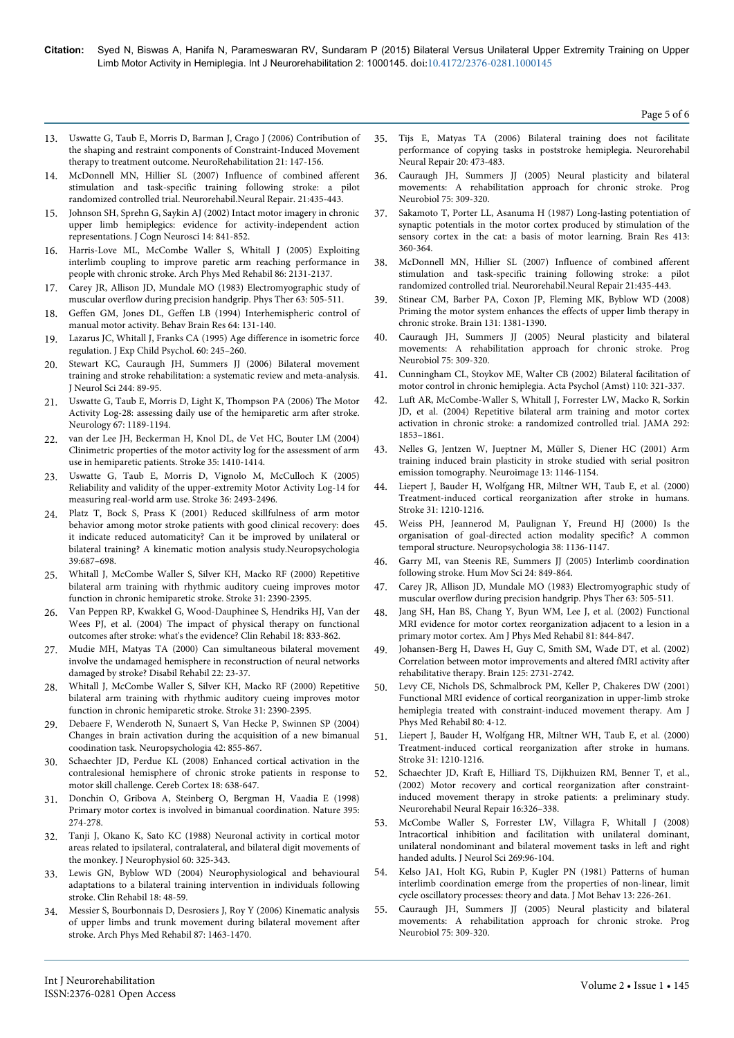Page 5 of 6

- 13. [Uswatte G, Taub E, Morris D, Barman J, Crago J \(2006\) Contribution of](http://www.ncbi.nlm.nih.gov/pubmed/16917161) [the shaping and restraint components of Constraint-Induced Movement](http://www.ncbi.nlm.nih.gov/pubmed/16917161) [therapy to treatment outcome. NeuroRehabilitation 21: 147-156.](http://www.ncbi.nlm.nih.gov/pubmed/16917161)
- 14. McDonnell MN, Hillier SL (2007) Influence of combined afferent stimulation and task-specific training following stroke: a pilot randomized controlled trial. Neurorehabil.Neural Repair. 21:435-443.
- 15. [Johnson SH, Sprehn G, Saykin AJ \(2002\) Intact motor imagery in chronic](http://www.ncbi.nlm.nih.gov/pubmed/12191452) [upper limb hemiplegics: evidence for activity-independent action](http://www.ncbi.nlm.nih.gov/pubmed/12191452) [representations. J Cogn Neurosci 14: 841-852.](http://www.ncbi.nlm.nih.gov/pubmed/12191452)
- 16. [Harris-Love ML, McCombe Waller S, Whitall J \(2005\) Exploiting](http://www.ncbi.nlm.nih.gov/pubmed/16271560) [interlimb coupling to improve paretic arm reaching performance in](http://www.ncbi.nlm.nih.gov/pubmed/16271560) [people with chronic stroke. Arch Phys Med Rehabil 86: 2131-2137.](http://www.ncbi.nlm.nih.gov/pubmed/16271560)
- 17. [Carey JR, Allison JD, Mundale MO \(1983\) Electromyographic study of](http://www.ncbi.nlm.nih.gov/pubmed/6836013) [muscular overflow during precision handgrip. Phys Ther 63: 505-511.](http://www.ncbi.nlm.nih.gov/pubmed/6836013)
- 18. [Geffen GM, Jones DL, Geffen LB \(1994\) Interhemispheric control of](http://www.ncbi.nlm.nih.gov/pubmed/7840879) [manual motor activity. Behav Brain Res 64: 131-140.](http://www.ncbi.nlm.nih.gov/pubmed/7840879)
- 19. Lazarus JC, Whitall J, Franks CA (1995) Age difference in isometric force regulation. J Exp Child Psychol. 60: 245–260.
- 20. [Stewart KC, Cauraugh JH, Summers JJ \(2006\) Bilateral movement](http://www.ncbi.nlm.nih.gov/pubmed/16476449) [training and stroke rehabilitation: a systematic review and meta-analysis.](http://www.ncbi.nlm.nih.gov/pubmed/16476449) [J Neurol Sci 244: 89-95.](http://www.ncbi.nlm.nih.gov/pubmed/16476449)
- 21. [Uswatte G, Taub E, Morris D, Light K, Thompson PA \(2006\) The Motor](http://www.ncbi.nlm.nih.gov/pubmed/17030751) [Activity Log-28: assessing daily use of the hemiparetic arm after stroke.](http://www.ncbi.nlm.nih.gov/pubmed/17030751) [Neurology 67: 1189-1194.](http://www.ncbi.nlm.nih.gov/pubmed/17030751)
- 22. [van der Lee JH, Beckerman H, Knol DL, de Vet HC, Bouter LM \(2004\)](http://www.ncbi.nlm.nih.gov/pubmed/15087552) [Clinimetric properties of the motor activity log for the assessment of arm](http://www.ncbi.nlm.nih.gov/pubmed/15087552) [use in hemiparetic patients. Stroke 35: 1410-1414.](http://www.ncbi.nlm.nih.gov/pubmed/15087552)
- 23. [Uswatte G, Taub E, Morris D, Vignolo M, McCulloch K \(2005\)](http://www.ncbi.nlm.nih.gov/pubmed/16224078) [Reliability and validity of the upper-extremity Motor Activity Log-14 for](http://www.ncbi.nlm.nih.gov/pubmed/16224078) [measuring real-world arm use. Stroke 36: 2493-2496.](http://www.ncbi.nlm.nih.gov/pubmed/16224078)
- 24. Platz T, Bock S, Prass K (2001) Reduced skillfulness of arm motor behavior among motor stroke patients with good clinical recovery: does it indicate reduced automaticity? Can it be improved by unilateral or bilateral training? A kinematic motion analysis study.Neuropsychologia 39:687–698.
- 25. [Whitall J, McCombe Waller S, Silver KH, Macko RF \(2000\) Repetitive](http://www.ncbi.nlm.nih.gov/pubmed/11022069) [bilateral arm training with rhythmic auditory cueing improves motor](http://www.ncbi.nlm.nih.gov/pubmed/11022069) [function in chronic hemiparetic stroke. Stroke 31: 2390-2395.](http://www.ncbi.nlm.nih.gov/pubmed/11022069)
- 26. [Van Peppen RP, Kwakkel G, Wood-Dauphinee S, Hendriks HJ, Van der](http://www.ncbi.nlm.nih.gov/pubmed/15609840) [Wees PJ, et al. \(2004\) The impact of physical therapy on functional](http://www.ncbi.nlm.nih.gov/pubmed/15609840) [outcomes after stroke: what's the evidence? Clin Rehabil 18: 833-862.](http://www.ncbi.nlm.nih.gov/pubmed/15609840)
- 27. [Mudie MH, Matyas TA \(2000\) Can simultaneous bilateral movement](http://www.ncbi.nlm.nih.gov/pubmed/10661755) [involve the undamaged hemisphere in reconstruction of neural networks](http://www.ncbi.nlm.nih.gov/pubmed/10661755) [damaged by stroke? Disabil Rehabil 22: 23-37.](http://www.ncbi.nlm.nih.gov/pubmed/10661755)
- 28. [Whitall J, McCombe Waller S, Silver KH, Macko RF \(2000\) Repetitive](http://www.ncbi.nlm.nih.gov/pubmed/11022069) [bilateral arm training with rhythmic auditory cueing improves motor](http://www.ncbi.nlm.nih.gov/pubmed/11022069) [function in chronic hemiparetic stroke. Stroke 31: 2390-2395.](http://www.ncbi.nlm.nih.gov/pubmed/11022069)
- 29. [Debaere F, Wenderoth N, Sunaert S, Van Hecke P, Swinnen SP \(2004\)](http://www.ncbi.nlm.nih.gov/pubmed/14998701) [Changes in brain activation during the acquisition of a new bimanual](http://www.ncbi.nlm.nih.gov/pubmed/14998701) [coodination task. Neuropsychologia 42: 855-867.](http://www.ncbi.nlm.nih.gov/pubmed/14998701)
- 30. [Schaechter JD, Perdue KL \(2008\) Enhanced cortical activation in the](http://www.ncbi.nlm.nih.gov/pubmed/17602141) [contralesional hemisphere of chronic stroke patients in response to](http://www.ncbi.nlm.nih.gov/pubmed/17602141) [motor skill challenge. Cereb Cortex 18: 638-647.](http://www.ncbi.nlm.nih.gov/pubmed/17602141)
- 31. [Donchin O, Gribova A, Steinberg O, Bergman H, Vaadia E \(1998\)](http://www.ncbi.nlm.nih.gov/pubmed/9751054) [Primary motor cortex is involved in bimanual coordination. Nature 395:](http://www.ncbi.nlm.nih.gov/pubmed/9751054) [274-278.](http://www.ncbi.nlm.nih.gov/pubmed/9751054)
- 32. [Tanji J, Okano K, Sato KC \(1988\) Neuronal activity in cortical motor](http://www.ncbi.nlm.nih.gov/pubmed/3404223) [areas related to ipsilateral, contralateral, and bilateral digit movements of](http://www.ncbi.nlm.nih.gov/pubmed/3404223) [the monkey. J Neurophysiol 60: 325-343.](http://www.ncbi.nlm.nih.gov/pubmed/3404223)
- 33. [Lewis GN, Byblow WD \(2004\) Neurophysiological and behavioural](http://www.ncbi.nlm.nih.gov/pubmed/14763719) [adaptations to a bilateral training intervention in individuals following](http://www.ncbi.nlm.nih.gov/pubmed/14763719) [stroke. Clin Rehabil 18: 48-59.](http://www.ncbi.nlm.nih.gov/pubmed/14763719)
- 34. [Messier S, Bourbonnais D, Desrosiers J, Roy Y \(2006\) Kinematic analysis](http://www.ncbi.nlm.nih.gov/pubmed/17084121) [of upper limbs and trunk movement during bilateral movement after](http://www.ncbi.nlm.nih.gov/pubmed/17084121) [stroke. Arch Phys Med Rehabil 87: 1463-1470.](http://www.ncbi.nlm.nih.gov/pubmed/17084121)
- 35. [Tijs E, Matyas TA \(2006\) Bilateral training does not facilitate](http://www.ncbi.nlm.nih.gov/pubmed/17082503) [performance of copying tasks in poststroke hemiplegia. Neurorehabil](http://www.ncbi.nlm.nih.gov/pubmed/17082503) [Neural Repair 20: 473-483.](http://www.ncbi.nlm.nih.gov/pubmed/17082503)
- 36. [Cauraugh JH, Summers JJ \(2005\) Neural plasticity and bilateral](http://www.ncbi.nlm.nih.gov/pubmed/15885874) [movements: A rehabilitation approach for chronic stroke. Prog](http://www.ncbi.nlm.nih.gov/pubmed/15885874) [Neurobiol 75: 309-320.](http://www.ncbi.nlm.nih.gov/pubmed/15885874)
- [Sakamoto T, Porter LL, Asanuma H \(1987\) Long-lasting potentiation of](http://www.ncbi.nlm.nih.gov/pubmed/3607486) [synaptic potentials in the motor cortex produced by stimulation of the](http://www.ncbi.nlm.nih.gov/pubmed/3607486) [sensory cortex in the cat: a basis of motor learning. Brain Res 413:](http://www.ncbi.nlm.nih.gov/pubmed/3607486) [360-364.](http://www.ncbi.nlm.nih.gov/pubmed/3607486)
- 38. McDonnell MN, Hillier SL (2007) Influence of combined afferent stimulation and task-specific training following stroke: a pilot randomized controlled trial. Neurorehabil.Neural Repair 21:435-443.
- 39. [Stinear CM, Barber PA, Coxon JP, Fleming MK, Byblow WD \(2008\)](http://www.ncbi.nlm.nih.gov/pubmed/18356189) [Priming the motor system enhances the effects of upper limb therapy in](http://www.ncbi.nlm.nih.gov/pubmed/18356189) [chronic stroke. Brain 131: 1381-1390.](http://www.ncbi.nlm.nih.gov/pubmed/18356189)
- 40. [Cauraugh JH, Summers JJ \(2005\) Neural plasticity and bilateral](http://www.ncbi.nlm.nih.gov/pubmed/15885874) [movements: A rehabilitation approach for chronic stroke. Prog](http://www.ncbi.nlm.nih.gov/pubmed/15885874) [Neurobiol 75: 309-320.](http://www.ncbi.nlm.nih.gov/pubmed/15885874)
- 41. [Cunningham CL, Stoykov ME, Walter CB \(2002\) Bilateral facilitation of](http://www.ncbi.nlm.nih.gov/pubmed/12102112) [motor control in chronic hemiplegia. Acta Psychol \(Amst\) 110: 321-337.](http://www.ncbi.nlm.nih.gov/pubmed/12102112)
- 42. [Luft AR, McCombe-Waller S, Whitall J, Forrester LW, Macko R, Sorkin](http://www.ncbi.nlm.nih.gov/pubmed/15494583) [JD, et al. \(2004\) Repetitive bilateral arm training and motor cortex](http://www.ncbi.nlm.nih.gov/pubmed/15494583) [activation in chronic stroke: a randomized controlled trial. JAMA 292:](http://www.ncbi.nlm.nih.gov/pubmed/15494583) [1853–1861.](http://www.ncbi.nlm.nih.gov/pubmed/15494583)
- 43. [Nelles G, Jentzen W, Jueptner M, Müller S, Diener HC \(2001\) Arm](http://www.ncbi.nlm.nih.gov/pubmed/11352620) [training induced brain plasticity in stroke studied with serial positron](http://www.ncbi.nlm.nih.gov/pubmed/11352620) [emission tomography. Neuroimage 13: 1146-1154.](http://www.ncbi.nlm.nih.gov/pubmed/11352620)
- 44. [Liepert J, Bauder H, Wolfgang HR, Miltner WH, Taub E, et al. \(2000\)](http://www.ncbi.nlm.nih.gov/pubmed/10835434) [Treatment-induced cortical reorganization after stroke in humans.](http://www.ncbi.nlm.nih.gov/pubmed/10835434) [Stroke 31: 1210-1216.](http://www.ncbi.nlm.nih.gov/pubmed/10835434)
- 45. [Weiss PH, Jeannerod M, Paulignan Y, Freund HJ \(2000\) Is the](http://www.ncbi.nlm.nih.gov/pubmed/10838148) [organisation of goal-directed action modality specific? A common](http://www.ncbi.nlm.nih.gov/pubmed/10838148) [temporal structure. Neuropsychologia 38: 1136-1147.](http://www.ncbi.nlm.nih.gov/pubmed/10838148)
- 46. [Garry MI, van Steenis RE, Summers JJ \(2005\) Interlimb coordination](http://www.ncbi.nlm.nih.gov/pubmed/16343673) [following stroke. Hum Mov Sci 24: 849-864.](http://www.ncbi.nlm.nih.gov/pubmed/16343673)
- 47. [Carey JR, Allison JD, Mundale MO \(1983\) Electromyographic study of](http://www.ncbi.nlm.nih.gov/pubmed/6836013) [muscular overflow during precision handgrip. Phys Ther 63: 505-511.](http://www.ncbi.nlm.nih.gov/pubmed/6836013)
- 48. [Jang SH, Han BS, Chang Y, Byun WM, Lee J, et al. \(2002\) Functional](http://www.ncbi.nlm.nih.gov/pubmed/12394996) [MRI evidence for motor cortex reorganization adjacent to a lesion in a](http://www.ncbi.nlm.nih.gov/pubmed/12394996) [primary motor cortex. Am J Phys Med Rehabil 81: 844-847.](http://www.ncbi.nlm.nih.gov/pubmed/12394996)
- 49. [Johansen-Berg H, Dawes H, Guy C, Smith SM, Wade DT, et al. \(2002\)](http://www.ncbi.nlm.nih.gov/pubmed/12429600) [Correlation between motor improvements and altered fMRI activity after](http://www.ncbi.nlm.nih.gov/pubmed/12429600) [rehabilitative therapy. Brain 125: 2731-2742.](http://www.ncbi.nlm.nih.gov/pubmed/12429600)
- 50. [Levy CE, Nichols DS, Schmalbrock PM, Keller P, Chakeres DW \(2001\)](http://www.ncbi.nlm.nih.gov/pubmed/11138954) [Functional MRI evidence of cortical reorganization in upper-limb stroke](http://www.ncbi.nlm.nih.gov/pubmed/11138954) [hemiplegia treated with constraint-induced movement therapy. Am J](http://www.ncbi.nlm.nih.gov/pubmed/11138954) [Phys Med Rehabil 80: 4-12.](http://www.ncbi.nlm.nih.gov/pubmed/11138954)
- 51. [Liepert J, Bauder H, Wolfgang HR, Miltner WH, Taub E, et al. \(2000\)](http://www.ncbi.nlm.nih.gov/pubmed/10835434) [Treatment-induced cortical reorganization after stroke in humans.](http://www.ncbi.nlm.nih.gov/pubmed/10835434) [Stroke 31: 1210-1216.](http://www.ncbi.nlm.nih.gov/pubmed/10835434)
- 52. Schaechter JD, Kraft E, Hilliard TS, Dijkhuizen RM, Benner T, et al., (2002) Motor recovery and cortical reorganization after constraintinduced movement therapy in stroke patients: a preliminary study. Neurorehabil Neural Repair 16:326–338.
- 53. [McCombe Waller S, Forrester LW, Villagra F, Whitall J \(2008\)](http://www.ncbi.nlm.nih.gov/pubmed/18336839) [Intracortical inhibition and facilitation with unilateral dominant,](http://www.ncbi.nlm.nih.gov/pubmed/18336839) [unilateral nondominant and bilateral movement tasks in left and right](http://www.ncbi.nlm.nih.gov/pubmed/18336839) [handed adults. J Neurol Sci 269:96-104.](http://www.ncbi.nlm.nih.gov/pubmed/18336839)
- 54. [Kelso JA1, Holt KG, Rubin P, Kugler PN \(1981\) Patterns of human](http://www.ncbi.nlm.nih.gov/pubmed/15215072) [interlimb coordination emerge from the properties of non-linear, limit](http://www.ncbi.nlm.nih.gov/pubmed/15215072) [cycle oscillatory processes: theory and data. J Mot Behav 13: 226-261.](http://www.ncbi.nlm.nih.gov/pubmed/15215072)
- 55. [Cauraugh JH, Summers JJ \(2005\) Neural plasticity and bilateral](http://www.ncbi.nlm.nih.gov/pubmed/15885874) [movements: A rehabilitation approach for chronic stroke. Prog](http://www.ncbi.nlm.nih.gov/pubmed/15885874) [Neurobiol 75: 309-320.](http://www.ncbi.nlm.nih.gov/pubmed/15885874)